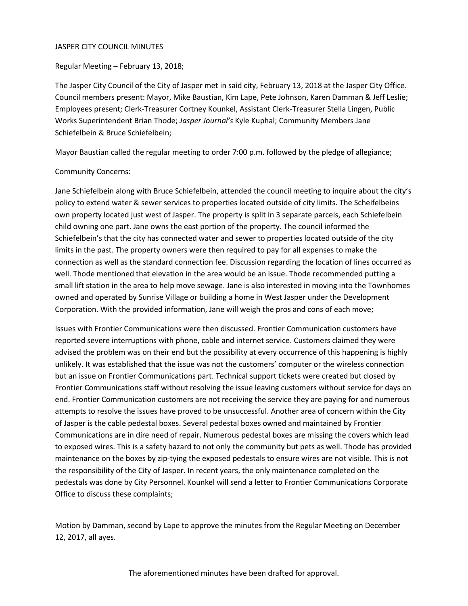#### JASPER CITY COUNCIL MINUTES

Regular Meeting – February 13, 2018;

The Jasper City Council of the City of Jasper met in said city, February 13, 2018 at the Jasper City Office. Council members present: Mayor, Mike Baustian, Kim Lape, Pete Johnson, Karen Damman & Jeff Leslie; Employees present; Clerk-Treasurer Cortney Kounkel, Assistant Clerk-Treasurer Stella Lingen, Public Works Superintendent Brian Thode; *Jasper Journal's* Kyle Kuphal; Community Members Jane Schiefelbein & Bruce Schiefelbein;

Mayor Baustian called the regular meeting to order 7:00 p.m. followed by the pledge of allegiance;

#### Community Concerns:

Jane Schiefelbein along with Bruce Schiefelbein, attended the council meeting to inquire about the city's policy to extend water & sewer services to properties located outside of city limits. The Scheifelbeins own property located just west of Jasper. The property is split in 3 separate parcels, each Schiefelbein child owning one part. Jane owns the east portion of the property. The council informed the Schiefelbein's that the city has connected water and sewer to properties located outside of the city limits in the past. The property owners were then required to pay for all expenses to make the connection as well as the standard connection fee. Discussion regarding the location of lines occurred as well. Thode mentioned that elevation in the area would be an issue. Thode recommended putting a small lift station in the area to help move sewage. Jane is also interested in moving into the Townhomes owned and operated by Sunrise Village or building a home in West Jasper under the Development Corporation. With the provided information, Jane will weigh the pros and cons of each move;

Issues with Frontier Communications were then discussed. Frontier Communication customers have reported severe interruptions with phone, cable and internet service. Customers claimed they were advised the problem was on their end but the possibility at every occurrence of this happening is highly unlikely. It was established that the issue was not the customers' computer or the wireless connection but an issue on Frontier Communications part. Technical support tickets were created but closed by Frontier Communications staff without resolving the issue leaving customers without service for days on end. Frontier Communication customers are not receiving the service they are paying for and numerous attempts to resolve the issues have proved to be unsuccessful. Another area of concern within the City of Jasper is the cable pedestal boxes. Several pedestal boxes owned and maintained by Frontier Communications are in dire need of repair. Numerous pedestal boxes are missing the covers which lead to exposed wires. This is a safety hazard to not only the community but pets as well. Thode has provided maintenance on the boxes by zip-tying the exposed pedestals to ensure wires are not visible. This is not the responsibility of the City of Jasper. In recent years, the only maintenance completed on the pedestals was done by City Personnel. Kounkel will send a letter to Frontier Communications Corporate Office to discuss these complaints;

Motion by Damman, second by Lape to approve the minutes from the Regular Meeting on December 12, 2017, all ayes.

The aforementioned minutes have been drafted for approval.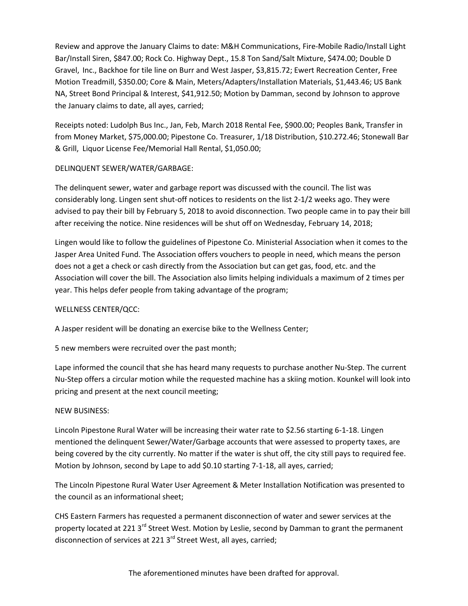Review and approve the January Claims to date: M&H Communications, Fire-Mobile Radio/Install Light Bar/Install Siren, \$847.00; Rock Co. Highway Dept., 15.8 Ton Sand/Salt Mixture, \$474.00; Double D Gravel, Inc., Backhoe for tile line on Burr and West Jasper, \$3,815.72; Ewert Recreation Center, Free Motion Treadmill, \$350.00; Core & Main, Meters/Adapters/Installation Materials, \$1,443.46; US Bank NA, Street Bond Principal & Interest, \$41,912.50; Motion by Damman, second by Johnson to approve the January claims to date, all ayes, carried;

Receipts noted: Ludolph Bus Inc., Jan, Feb, March 2018 Rental Fee, \$900.00; Peoples Bank, Transfer in from Money Market, \$75,000.00; Pipestone Co. Treasurer, 1/18 Distribution, \$10.272.46; Stonewall Bar & Grill, Liquor License Fee/Memorial Hall Rental, \$1,050.00;

### DELINQUENT SEWER/WATER/GARBAGE:

The delinquent sewer, water and garbage report was discussed with the council. The list was considerably long. Lingen sent shut-off notices to residents on the list 2-1/2 weeks ago. They were advised to pay their bill by February 5, 2018 to avoid disconnection. Two people came in to pay their bill after receiving the notice. Nine residences will be shut off on Wednesday, February 14, 2018;

Lingen would like to follow the guidelines of Pipestone Co. Ministerial Association when it comes to the Jasper Area United Fund. The Association offers vouchers to people in need, which means the person does not a get a check or cash directly from the Association but can get gas, food, etc. and the Association will cover the bill. The Association also limits helping individuals a maximum of 2 times per year. This helps defer people from taking advantage of the program;

# WELLNESS CENTER/QCC:

A Jasper resident will be donating an exercise bike to the Wellness Center;

5 new members were recruited over the past month;

Lape informed the council that she has heard many requests to purchase another Nu-Step. The current Nu-Step offers a circular motion while the requested machine has a skiing motion. Kounkel will look into pricing and present at the next council meeting;

### NEW BUSINESS:

Lincoln Pipestone Rural Water will be increasing their water rate to \$2.56 starting 6-1-18. Lingen mentioned the delinquent Sewer/Water/Garbage accounts that were assessed to property taxes, are being covered by the city currently. No matter if the water is shut off, the city still pays to required fee. Motion by Johnson, second by Lape to add \$0.10 starting 7-1-18, all ayes, carried;

The Lincoln Pipestone Rural Water User Agreement & Meter Installation Notification was presented to the council as an informational sheet;

CHS Eastern Farmers has requested a permanent disconnection of water and sewer services at the property located at 221 3<sup>rd</sup> Street West. Motion by Leslie, second by Damman to grant the permanent disconnection of services at 221 3<sup>rd</sup> Street West, all ayes, carried;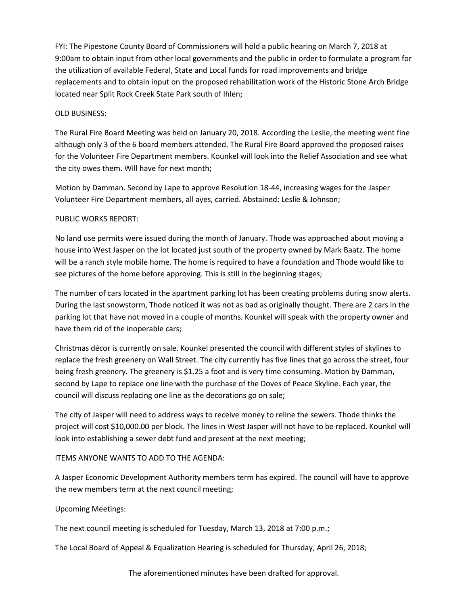FYI: The Pipestone County Board of Commissioners will hold a public hearing on March 7, 2018 at 9:00am to obtain input from other local governments and the public in order to formulate a program for the utilization of available Federal, State and Local funds for road improvements and bridge replacements and to obtain input on the proposed rehabilitation work of the Historic Stone Arch Bridge located near Split Rock Creek State Park south of Ihlen;

### OLD BUSINESS:

The Rural Fire Board Meeting was held on January 20, 2018. According the Leslie, the meeting went fine although only 3 of the 6 board members attended. The Rural Fire Board approved the proposed raises for the Volunteer Fire Department members. Kounkel will look into the Relief Association and see what the city owes them. Will have for next month;

Motion by Damman. Second by Lape to approve Resolution 18-44, increasing wages for the Jasper Volunteer Fire Department members, all ayes, carried. Abstained: Leslie & Johnson;

## PUBLIC WORKS REPORT:

No land use permits were issued during the month of January. Thode was approached about moving a house into West Jasper on the lot located just south of the property owned by Mark Baatz. The home will be a ranch style mobile home. The home is required to have a foundation and Thode would like to see pictures of the home before approving. This is still in the beginning stages;

The number of cars located in the apartment parking lot has been creating problems during snow alerts. During the last snowstorm, Thode noticed it was not as bad as originally thought. There are 2 cars in the parking lot that have not moved in a couple of months. Kounkel will speak with the property owner and have them rid of the inoperable cars;

Christmas décor is currently on sale. Kounkel presented the council with different styles of skylines to replace the fresh greenery on Wall Street. The city currently has five lines that go across the street, four being fresh greenery. The greenery is \$1.25 a foot and is very time consuming. Motion by Damman, second by Lape to replace one line with the purchase of the Doves of Peace Skyline. Each year, the council will discuss replacing one line as the decorations go on sale;

The city of Jasper will need to address ways to receive money to reline the sewers. Thode thinks the project will cost \$10,000.00 per block. The lines in West Jasper will not have to be replaced. Kounkel will look into establishing a sewer debt fund and present at the next meeting;

# ITEMS ANYONE WANTS TO ADD TO THE AGENDA:

A Jasper Economic Development Authority members term has expired. The council will have to approve the new members term at the next council meeting;

### Upcoming Meetings:

The next council meeting is scheduled for Tuesday, March 13, 2018 at 7:00 p.m.;

The Local Board of Appeal & Equalization Hearing is scheduled for Thursday, April 26, 2018;

The aforementioned minutes have been drafted for approval.